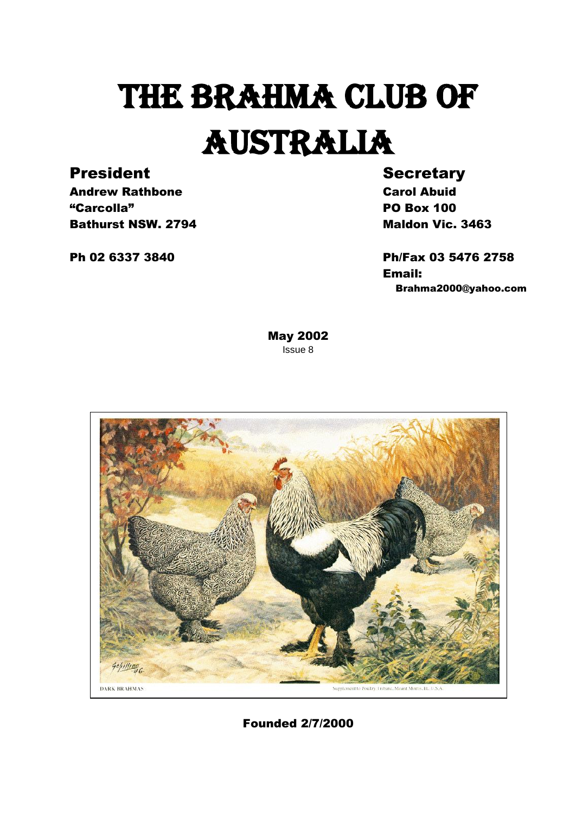# THE BRAHMA CLUB OF AUSTRALIA

#### President Secretary

Andrew Rathbone **Carol Abuid** "Carcolla" PO Box 100 **Bathurst NSW. 2794** Maldon Vic. 3463

Ph 02 6337 3840 Ph/Fax 03 5476 2758 Email: Brahma2000@yahoo.com

> May 2002 Issue 8



Founded 2/7/2000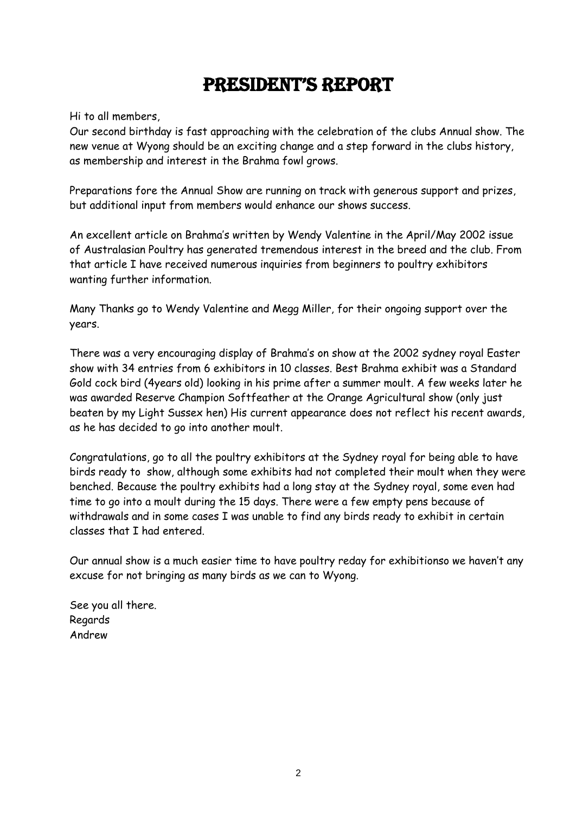#### President's rePort

Hi to all members,

Our second birthday is fast approaching with the celebration of the clubs Annual show. The new venue at Wyong should be an exciting change and a step forward in the clubs history, as membership and interest in the Brahma fowl grows.

Preparations fore the Annual Show are running on track with generous support and prizes, but additional input from members would enhance our shows success.

An excellent article on Brahma's written by Wendy Valentine in the April/May 2002 issue of Australasian Poultry has generated tremendous interest in the breed and the club. From that article I have received numerous inquiries from beginners to poultry exhibitors wanting further information.

Many Thanks go to Wendy Valentine and Megg Miller, for their ongoing support over the years.

There was a very encouraging display of Brahma's on show at the 2002 sydney royal Easter show with 34 entries from 6 exhibitors in 10 classes. Best Brahma exhibit was a Standard Gold cock bird (4years old) looking in his prime after a summer moult. A few weeks later he was awarded Reserve Champion Softfeather at the Orange Agricultural show (only just beaten by my Light Sussex hen) His current appearance does not reflect his recent awards, as he has decided to go into another moult.

Congratulations, go to all the poultry exhibitors at the Sydney royal for being able to have birds ready to show, although some exhibits had not completed their moult when they were benched. Because the poultry exhibits had a long stay at the Sydney royal, some even had time to go into a moult during the 15 days. There were a few empty pens because of withdrawals and in some cases I was unable to find any birds ready to exhibit in certain classes that I had entered.

Our annual show is a much easier time to have poultry reday for exhibitionso we haven't any excuse for not bringing as many birds as we can to Wyong.

See you all there. Regards Andrew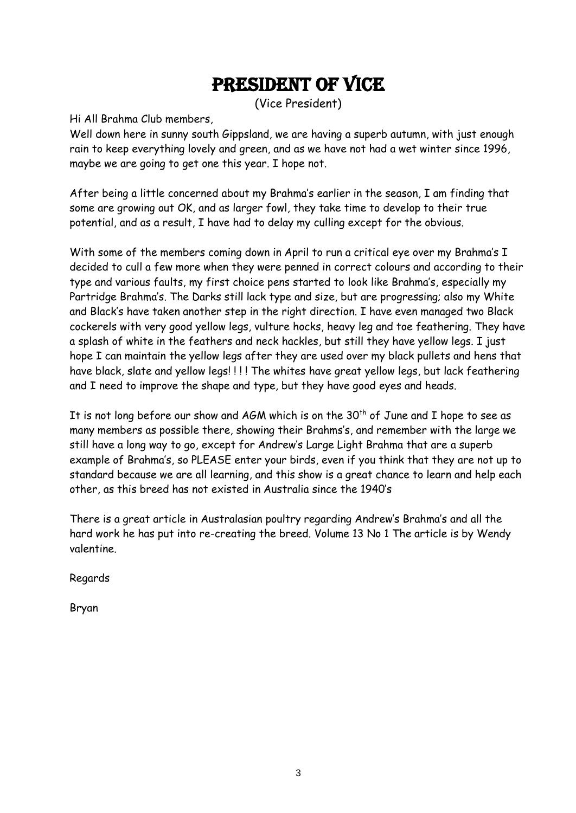#### PRESIDENT OF VICE

(Vice President)

Hi All Brahma Club members,

Well down here in sunny south Gippsland, we are having a superb autumn, with just enough rain to keep everything lovely and green, and as we have not had a wet winter since 1996, maybe we are going to get one this year. I hope not.

After being a little concerned about my Brahma's earlier in the season, I am finding that some are growing out OK, and as larger fowl, they take time to develop to their true potential, and as a result, I have had to delay my culling except for the obvious.

With some of the members coming down in April to run a critical eye over my Brahma's I decided to cull a few more when they were penned in correct colours and according to their type and various faults, my first choice pens started to look like Brahma's, especially my Partridge Brahma's. The Darks still lack type and size, but are progressing; also my White and Black's have taken another step in the right direction. I have even managed two Black cockerels with very good yellow legs, vulture hocks, heavy leg and toe feathering. They have a splash of white in the feathers and neck hackles, but still they have yellow legs. I just hope I can maintain the yellow legs after they are used over my black pullets and hens that have black, slate and yellow legs! ! ! ! The whites have great yellow legs, but lack feathering and I need to improve the shape and type, but they have good eyes and heads.

It is not long before our show and AGM which is on the  $30<sup>th</sup>$  of June and I hope to see as many members as possible there, showing their Brahms's, and remember with the large we still have a long way to go, except for Andrew's Large Light Brahma that are a superb example of Brahma's, so PLEASE enter your birds, even if you think that they are not up to standard because we are all learning, and this show is a great chance to learn and help each other, as this breed has not existed in Australia since the 1940's

There is a great article in Australasian poultry regarding Andrew's Brahma's and all the hard work he has put into re-creating the breed. Volume 13 No 1 The article is by Wendy valentine.

Regards

Bryan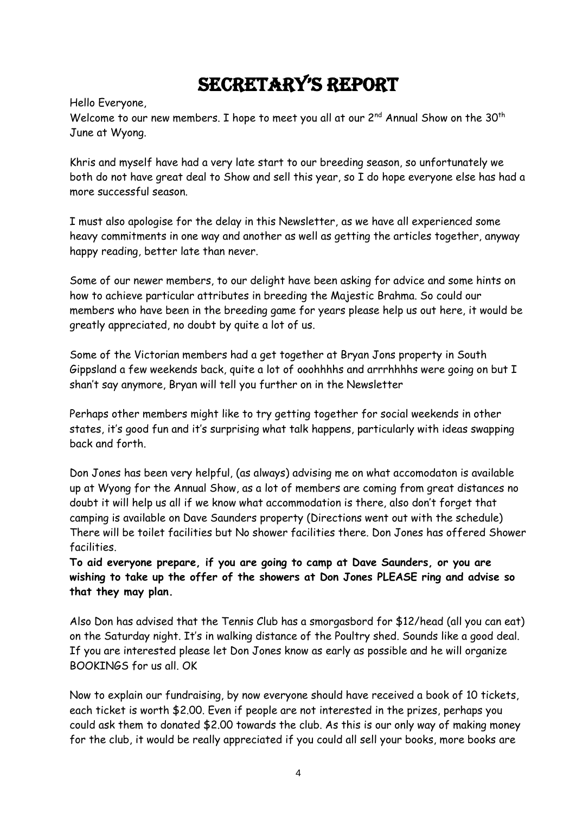# secretary's rePort

Hello Everyone,

Welcome to our new members. I hope to meet you all at our 2<sup>nd</sup> Annual Show on the 30<sup>th</sup> June at Wyong.

Khris and myself have had a very late start to our breeding season, so unfortunately we both do not have great deal to Show and sell this year, so I do hope everyone else has had a more successful season.

I must also apologise for the delay in this Newsletter, as we have all experienced some heavy commitments in one way and another as well as getting the articles together, anyway happy reading, better late than never.

Some of our newer members, to our delight have been asking for advice and some hints on how to achieve particular attributes in breeding the Majestic Brahma. So could our members who have been in the breeding game for years please help us out here, it would be greatly appreciated, no doubt by quite a lot of us.

Some of the Victorian members had a get together at Bryan Jons property in South Gippsland a few weekends back, quite a lot of ooohhhhs and arrrhhhhs were going on but I shan't say anymore, Bryan will tell you further on in the Newsletter

Perhaps other members might like to try getting together for social weekends in other states, it's good fun and it's surprising what talk happens, particularly with ideas swapping back and forth.

Don Jones has been very helpful, (as always) advising me on what accomodaton is available up at Wyong for the Annual Show, as a lot of members are coming from great distances no doubt it will help us all if we know what accommodation is there, also don't forget that camping is available on Dave Saunders property (Directions went out with the schedule) There will be toilet facilities but No shower facilities there. Don Jones has offered Shower facilities.

**To aid everyone prepare, if you are going to camp at Dave Saunders, or you are wishing to take up the offer of the showers at Don Jones PLEASE ring and advise so that they may plan.**

Also Don has advised that the Tennis Club has a smorgasbord for \$12/head (all you can eat) on the Saturday night. It's in walking distance of the Poultry shed. Sounds like a good deal. If you are interested please let Don Jones know as early as possible and he will organize BOOKINGS for us all. OK

Now to explain our fundraising, by now everyone should have received a book of 10 tickets, each ticket is worth \$2.00. Even if people are not interested in the prizes, perhaps you could ask them to donated \$2.00 towards the club. As this is our only way of making money for the club, it would be really appreciated if you could all sell your books, more books are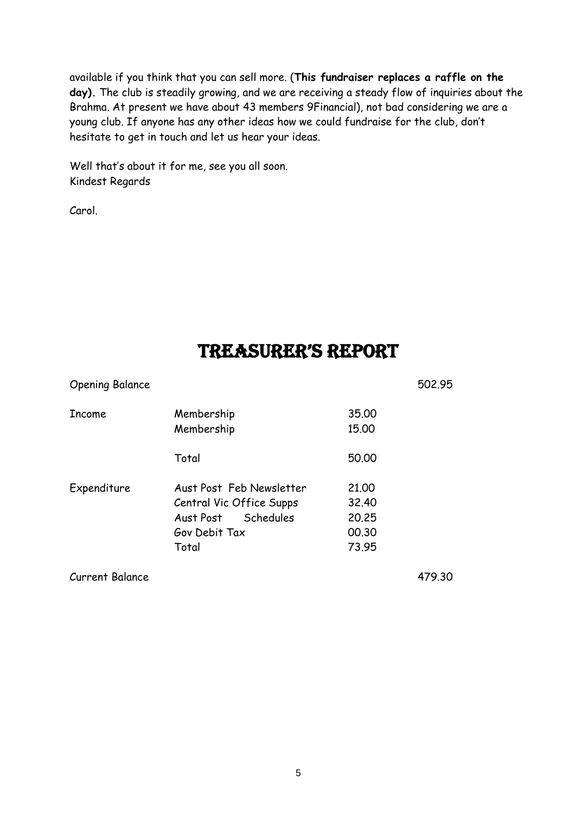available if you think that you can sell more. (**This fundraiser replaces a raffle on the day).** The club is steadily growing, and we are receiving a steady flow of inquiries about the Brahma. At present we have about 43 members 9Financial), not bad considering we are a young club. If anyone has any other ideas how we could fundraise for the club, don't hesitate to get in touch and let us hear your ideas.

Well that's about it for me, see you all soon. Kindest Regards

Carol.

### treasurer's rePort

| <b>Opening Balance</b> |                                                                                                          |                                           | 502.95 |
|------------------------|----------------------------------------------------------------------------------------------------------|-------------------------------------------|--------|
| <b>Income</b>          | Membership<br>Membership                                                                                 | 35,00<br>15.00                            |        |
|                        | Total                                                                                                    | 50,00                                     |        |
| Expenditure            | Aust Post Feb Newsletter<br>Central Vic Office Supps<br>Schedules<br>Aust Post<br>Gov Debit Tax<br>Total | 21,00<br>32.40<br>20,25<br>00.30<br>73.95 |        |
| <b>Current Balance</b> |                                                                                                          |                                           | 479.30 |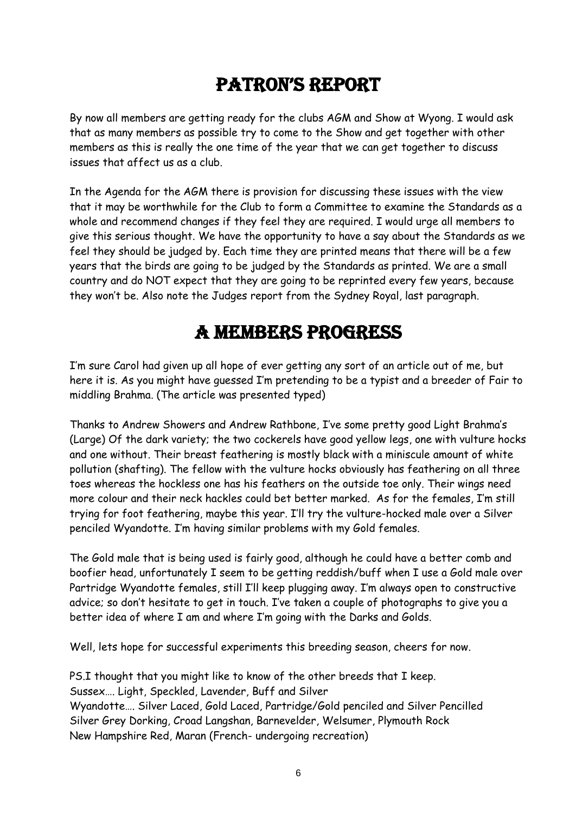# Patron's rePort

By now all members are getting ready for the clubs AGM and Show at Wyong. I would ask that as many members as possible try to come to the Show and get together with other members as this is really the one time of the year that we can get together to discuss issues that affect us as a club.

In the Agenda for the AGM there is provision for discussing these issues with the view that it may be worthwhile for the Club to form a Committee to examine the Standards as a whole and recommend changes if they feel they are required. I would urge all members to give this serious thought. We have the opportunity to have a say about the Standards as we feel they should be judged by. Each time they are printed means that there will be a few years that the birds are going to be judged by the Standards as printed. We are a small country and do NOT expect that they are going to be reprinted every few years, because they won't be. Also note the Judges report from the Sydney Royal, last paragraph.

#### A members progress

I'm sure Carol had given up all hope of ever getting any sort of an article out of me, but here it is. As you might have guessed I'm pretending to be a typist and a breeder of Fair to middling Brahma. (The article was presented typed)

Thanks to Andrew Showers and Andrew Rathbone, I've some pretty good Light Brahma's (Large) Of the dark variety; the two cockerels have good yellow legs, one with vulture hocks and one without. Their breast feathering is mostly black with a miniscule amount of white pollution (shafting). The fellow with the vulture hocks obviously has feathering on all three toes whereas the hockless one has his feathers on the outside toe only. Their wings need more colour and their neck hackles could bet better marked. As for the females, I'm still trying for foot feathering, maybe this year. I'll try the vulture-hocked male over a Silver penciled Wyandotte. I'm having similar problems with my Gold females.

The Gold male that is being used is fairly good, although he could have a better comb and boofier head, unfortunately I seem to be getting reddish/buff when I use a Gold male over Partridge Wyandotte females, still I'll keep plugging away. I'm always open to constructive advice; so don't hesitate to get in touch. I've taken a couple of photographs to give you a better idea of where I am and where I'm going with the Darks and Golds.

Well, lets hope for successful experiments this breeding season, cheers for now.

PS.I thought that you might like to know of the other breeds that I keep. Sussex…. Light, Speckled, Lavender, Buff and Silver Wyandotte…. Silver Laced, Gold Laced, Partridge/Gold penciled and Silver Pencilled Silver Grey Dorking, Croad Langshan, Barnevelder, Welsumer, Plymouth Rock New Hampshire Red, Maran (French- undergoing recreation)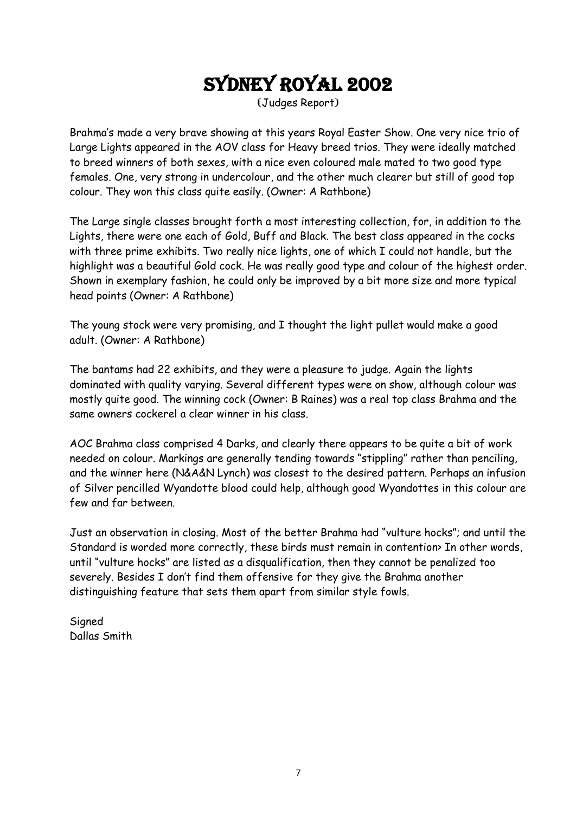# Sydney royal 2002

(Judges Report)

Brahma's made a very brave showing at this years Royal Easter Show. One very nice trio of Large Lights appeared in the AOV class for Heavy breed trios. They were ideally matched to breed winners of both sexes, with a nice even coloured male mated to two good type females. One, very strong in undercolour, and the other much clearer but still of good top colour. They won this class quite easily. (Owner: A Rathbone)

The Large single classes brought forth a most interesting collection, for, in addition to the Lights, there were one each of Gold, Buff and Black. The best class appeared in the cocks with three prime exhibits. Two really nice lights, one of which I could not handle, but the highlight was a beautiful Gold cock. He was really good type and colour of the highest order. Shown in exemplary fashion, he could only be improved by a bit more size and more typical head points (Owner: A Rathbone)

The young stock were very promising, and I thought the light pullet would make a good adult. (Owner: A Rathbone)

The bantams had 22 exhibits, and they were a pleasure to judge. Again the lights dominated with quality varying. Several different types were on show, although colour was mostly quite good. The winning cock (Owner: B Raines) was a real top class Brahma and the same owners cockerel a clear winner in his class.

AOC Brahma class comprised 4 Darks, and clearly there appears to be quite a bit of work needed on colour. Markings are generally tending towards "stippling" rather than penciling, and the winner here (N&A&N Lynch) was closest to the desired pattern. Perhaps an infusion of Silver pencilled Wyandotte blood could help, although good Wyandottes in this colour are few and far between.

Just an observation in closing. Most of the better Brahma had "vulture hocks"; and until the Standard is worded more correctly, these birds must remain in contention> In other words, until "vulture hocks" are listed as a disqualification, then they cannot be penalized too severely. Besides I don't find them offensive for they give the Brahma another distinguishing feature that sets them apart from similar style fowls.

**Signed** Dallas Smith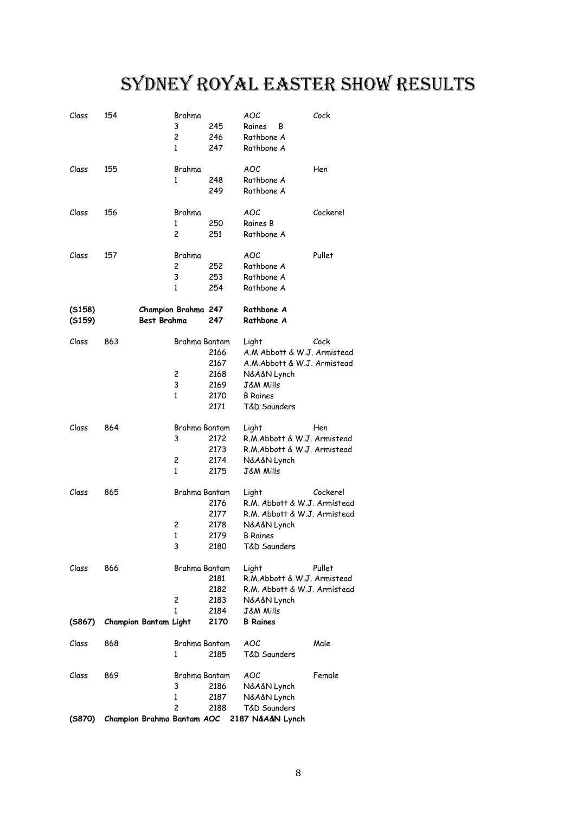# Sydney Royal easter show results

| Class  | 154                        | Brahma              |      | AOC                          | Cock     |
|--------|----------------------------|---------------------|------|------------------------------|----------|
|        |                            | 3                   | 245  | Raines<br>В                  |          |
|        |                            | $\overline{c}$      | 246  | Rathbone A                   |          |
|        |                            | 1                   | 247  | Rathbone A                   |          |
|        |                            |                     |      |                              |          |
| Class  | 155                        | Brahma              |      | AOC                          | Hen      |
|        |                            | 1                   | 248  | Rathbone A                   |          |
|        |                            |                     | 249  | Rathbone A                   |          |
|        |                            |                     |      |                              |          |
| Class  | 156                        | Brahma              |      | AOC                          | Cockerel |
|        |                            | 1                   | 250  | Raines B                     |          |
|        |                            | 2                   | 251  | Rathbone A                   |          |
| Class  | 157                        | Brahma              |      | AOC                          | Pullet   |
|        |                            | 2                   | 252  | Rathbone A                   |          |
|        |                            | 3                   | 253  | Rathbone A                   |          |
|        |                            | 1                   | 254  | Rathbone A                   |          |
|        |                            |                     |      |                              |          |
| (5158) |                            | Champion Brahma 247 |      | Rathbone A                   |          |
| (5159) | <b>Best Brahma</b>         |                     | 247  | Rathbone A                   |          |
|        |                            |                     |      |                              |          |
| Class  | 863                        | Brahma Bantam       |      | Light                        | Cock     |
|        |                            |                     | 2166 | A.M Abbott & W.J. Armistead  |          |
|        |                            |                     | 2167 | A.M.Abbott & W.J. Armistead  |          |
|        |                            | 2                   | 2168 | N&A&N Lynch                  |          |
|        |                            | 3                   | 2169 | J&M Mills                    |          |
|        |                            | 1                   | 2170 | <b>B</b> Raines              |          |
|        |                            |                     | 2171 | T&D Saunders                 |          |
| Class  | 864                        | Brahma Bantam       |      | Light                        | Hen      |
|        |                            | 3                   | 2172 | R.M. Abbott & W.J. Armistead |          |
|        |                            |                     | 2173 | R.M.Abbott & W.J. Armistead  |          |
|        |                            | 2                   | 2174 | N&A&N Lynch                  |          |
|        |                            | 1                   | 2175 | J&M Mills                    |          |
|        |                            |                     |      |                              |          |
| Class  | 865                        | Brahma Bantam       |      | Light                        | Cockerel |
|        |                            |                     | 2176 | R.M. Abbott & W.J. Armistead |          |
|        |                            |                     | 2177 | R.M. Abbott & W.J. Armistead |          |
|        |                            | 2                   | 2178 | N&A&N Lynch                  |          |
|        |                            | $\mathbf{1}$        | 2179 | <b>B</b> Raines              |          |
|        |                            | 3                   | 2180 | T&D Saunders                 |          |
|        |                            |                     |      |                              |          |
| Class  | 866                        | Brahma Bantam       |      | Light                        | Pullet   |
|        |                            |                     | 2181 | R.M.Abbott & W.J. Armistead  |          |
|        |                            |                     | 2182 | R.M. Abbott & W.J. Armistead |          |
|        |                            | 2                   | 2183 | N&A&N Lynch                  |          |
|        |                            | $\mathbf{1}$        | 2184 | <b>J&amp;M Mills</b>         |          |
| (5867) | Champion Bantam Light      |                     | 2170 | <b>B</b> Raines              |          |
|        |                            |                     |      |                              |          |
| Class  | 868                        | Brahma Bantam       |      | AOC                          | Male     |
|        |                            | 1                   | 2185 | T&D Saunders                 |          |
| Class  | 869                        | Brahma Bantam       |      | AOC                          | Female   |
|        |                            | 3                   | 2186 | N&A&N Lynch                  |          |
|        |                            | 1                   | 2187 | N&A&N Lynch                  |          |
|        |                            | 2                   | 2188 | T&D Saunders                 |          |
| (5870) | Champion Brahma Bantam AOC |                     |      | 2187 N&A&N Lynch             |          |
|        |                            |                     |      |                              |          |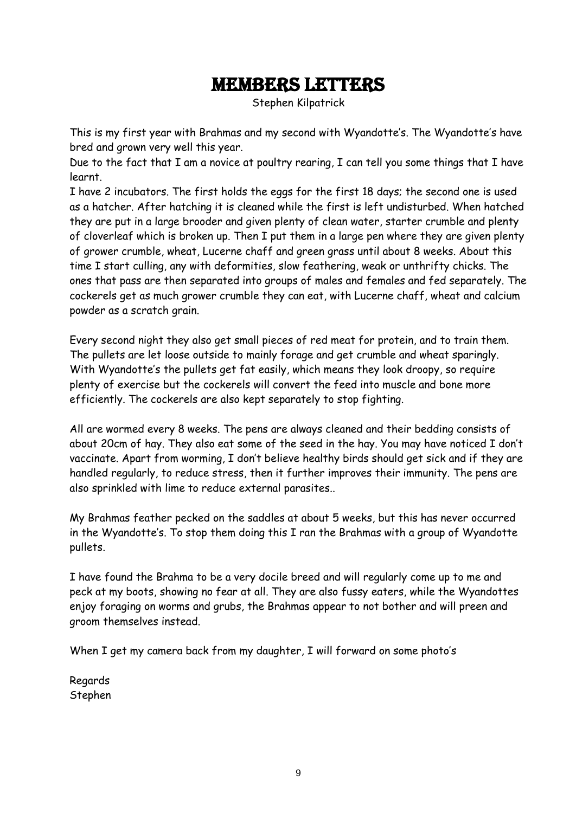#### Members letters

Stephen Kilpatrick

This is my first year with Brahmas and my second with Wyandotte's. The Wyandotte's have bred and grown very well this year.

Due to the fact that I am a novice at poultry rearing, I can tell you some things that I have learnt.

I have 2 incubators. The first holds the eggs for the first 18 days; the second one is used as a hatcher. After hatching it is cleaned while the first is left undisturbed. When hatched they are put in a large brooder and given plenty of clean water, starter crumble and plenty of cloverleaf which is broken up. Then I put them in a large pen where they are given plenty of grower crumble, wheat, Lucerne chaff and green grass until about 8 weeks. About this time I start culling, any with deformities, slow feathering, weak or unthrifty chicks. The ones that pass are then separated into groups of males and females and fed separately. The cockerels get as much grower crumble they can eat, with Lucerne chaff, wheat and calcium powder as a scratch grain.

Every second night they also get small pieces of red meat for protein, and to train them. The pullets are let loose outside to mainly forage and get crumble and wheat sparingly. With Wyandotte's the pullets get fat easily, which means they look droopy, so require plenty of exercise but the cockerels will convert the feed into muscle and bone more efficiently. The cockerels are also kept separately to stop fighting.

All are wormed every 8 weeks. The pens are always cleaned and their bedding consists of about 20cm of hay. They also eat some of the seed in the hay. You may have noticed I don't vaccinate. Apart from worming, I don't believe healthy birds should get sick and if they are handled regularly, to reduce stress, then it further improves their immunity. The pens are also sprinkled with lime to reduce external parasites..

My Brahmas feather pecked on the saddles at about 5 weeks, but this has never occurred in the Wyandotte's. To stop them doing this I ran the Brahmas with a group of Wyandotte pullets.

I have found the Brahma to be a very docile breed and will regularly come up to me and peck at my boots, showing no fear at all. They are also fussy eaters, while the Wyandottes enjoy foraging on worms and grubs, the Brahmas appear to not bother and will preen and groom themselves instead.

When I get my camera back from my daughter, I will forward on some photo's

Regards Stephen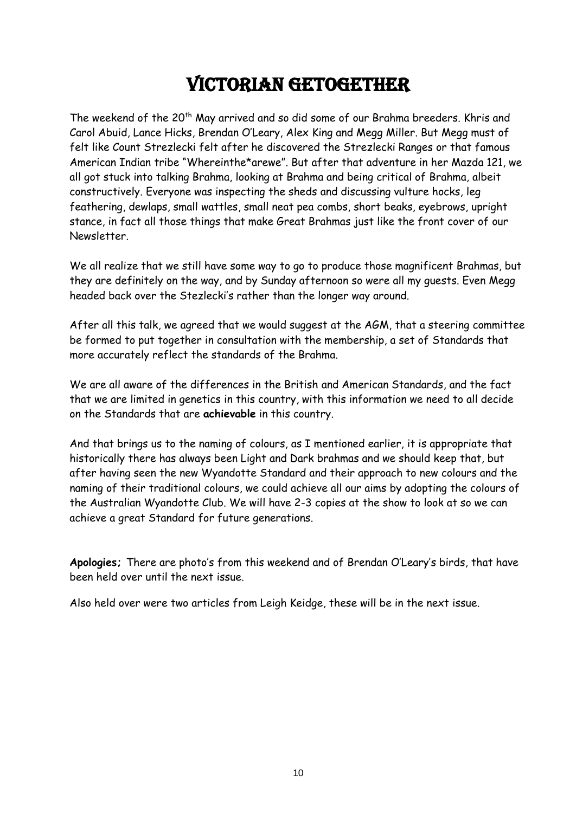# Victorian getogether

The weekend of the 20<sup>th</sup> May arrived and so did some of our Brahma breeders. Khris and Carol Abuid, Lance Hicks, Brendan O'Leary, Alex King and Megg Miller. But Megg must of felt like Count Strezlecki felt after he discovered the Strezlecki Ranges or that famous American Indian tribe "Whereinthe\*arewe". But after that adventure in her Mazda 121, we all got stuck into talking Brahma, looking at Brahma and being critical of Brahma, albeit constructively. Everyone was inspecting the sheds and discussing vulture hocks, leg feathering, dewlaps, small wattles, small neat pea combs, short beaks, eyebrows, upright stance, in fact all those things that make Great Brahmas just like the front cover of our Newsletter.

We all realize that we still have some way to go to produce those magnificent Brahmas, but they are definitely on the way, and by Sunday afternoon so were all my guests. Even Megg headed back over the Stezlecki's rather than the longer way around.

After all this talk, we agreed that we would suggest at the AGM, that a steering committee be formed to put together in consultation with the membership, a set of Standards that more accurately reflect the standards of the Brahma.

We are all aware of the differences in the British and American Standards, and the fact that we are limited in genetics in this country, with this information we need to all decide on the Standards that are **achievable** in this country.

And that brings us to the naming of colours, as I mentioned earlier, it is appropriate that historically there has always been Light and Dark brahmas and we should keep that, but after having seen the new Wyandotte Standard and their approach to new colours and the naming of their traditional colours, we could achieve all our aims by adopting the colours of the Australian Wyandotte Club. We will have 2-3 copies at the show to look at so we can achieve a great Standard for future generations.

**Apologies;** There are photo's from this weekend and of Brendan O'Leary's birds, that have been held over until the next issue.

Also held over were two articles from Leigh Keidge, these will be in the next issue.